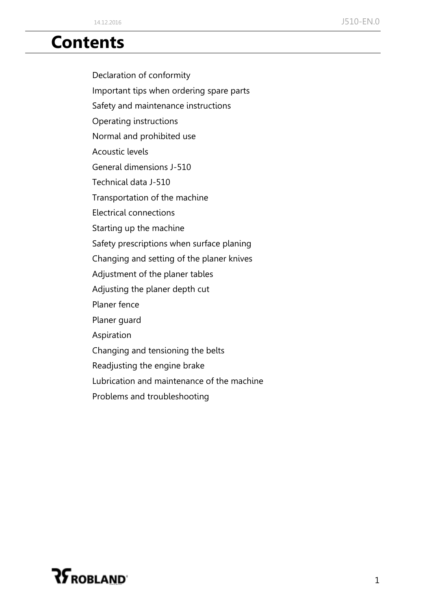### **Contents**

Declaration of conformity

Important tips when ordering spare parts

Safety and maintenance instructions

Operating instructions

Normal and prohibited use

Acoustic levels

General dimensions J-510

Technical data J-510

Transportation of the machine

Electrical connections

Starting up the machine

Safety prescriptions when surface planing

Changing and setting of the planer knives

Adjustment of the planer tables

Adjusting the planer depth cut

Planer fence

Planer guard

Aspiration

Changing and tensioning the belts

Readjusting the engine brake

Lubrication and maintenance of the machine

Problems and troubleshooting

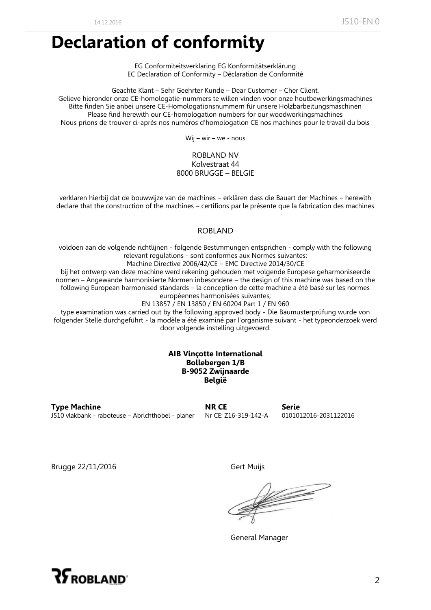### **Declaration of conformity**

EG Conformiteitsverklaring EG Konformitätserklärung EC Declaration of Conformity – Déclaration de Conformité

Geachte Klant – Sehr Geehrter Kunde – Dear Customer – Cher Client, Gelieve hieronder onze CE-homologatie-nummers te willen vinden voor onze houtbewerkingsmachines Bitte finden Sie anbei unsere CE-Homologationsnummern für unsere Holzbarbeitungsmaschinen Please find herewith our CE-homologation numbers for our woodworkingsmachines Nous prions de trouver ci-après nos numéros d'homologation CE nos machines pour le travail du bois

Wij – wir – we - nous

#### ROBLAND NV Kolvestraat 44 8000 BRUGGE – BELGIE

verklaren hierbij dat de bouwwijze van de machines – erklären dass die Bauart der Machines – herewith declare that the construction of the machines – certifions par le présente que la fabrication des machines

#### ROBLAND

voldoen aan de volgende richtlijnen - folgende Bestimmungen entsprichen - comply with the following relevant regulations - sont conformes aux Normes suivantes:

Machine Directive 2006/42/CE – EMC Directive 2014/30/CE

bij het ontwerp van deze machine werd rekening gehouden met volgende Europese geharmoniseerde normen – Angewande harmonisierte Normen inbesondere – the design of this machine was based on the following European harmonised standards – la conception de cette machine a été basé sur les normes européennes harmonisées suivantes;

EN 13857 / EN 13850 / EN 60204 Part 1 / EN 960

type examination was carried out by the following approved body - Die Baumusterprüfung wurde von folgender Stelle durchgeführt - la modèle a été examiné par l'organisme suivant - het typeonderzoek werd door volgende instelling uitgevoerd:

#### **AIB Vinçotte International Bollebergen 1/B B-9052 Zwijnaarde België**

**Type Machine NR CE Serie**<br> **NR CE Serie Serie Serie Serie NECE SERIE NECE SERIE SERIE SERIE SERIE CONTER SERIE CONTER SERIE CONTER SERIE CONTER CONTER CONTER CONTER CONTER** J510 vlakbank - raboteuse – Abrichthobel - planer

Brugge 22/11/2016 Gert Muijs

 $\begin{picture}(20,20) \put(0,0){\line(1,0){150}} \put(0,0){\line(1,0){150}} \put(0,0){\line(1,0){150}} \put(0,0){\line(1,0){150}} \put(0,0){\line(1,0){150}} \put(0,0){\line(1,0){150}} \put(0,0){\line(1,0){150}} \put(0,0){\line(1,0){150}} \put(0,0){\line(1,0){150}} \put(0,0){\line(1,0){150}} \put(0,0){\line(1,0){150}} \put(0,0){\line(1$ 

General Manager

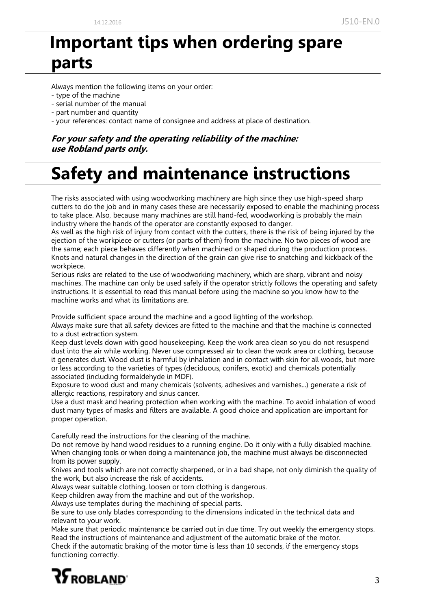### **Important tips when ordering spare parts**

Always mention the following items on your order:

- type of the machine
- serial number of the manual
- part number and quantity
- your references: contact name of consignee and address at place of destination.

#### **For your safety and the operating reliability of the machine: use Robland parts only.**

# **Safety and maintenance instructions**

The risks associated with using woodworking machinery are high since they use high-speed sharp cutters to do the job and in many cases these are necessarily exposed to enable the machining process to take place. Also, because many machines are still hand-fed, woodworking is probably the main industry where the hands of the operator are constantly exposed to danger.

As well as the high risk of injury from contact with the cutters, there is the risk of being injured by the ejection of the workpiece or cutters (or parts of them) from the machine. No two pieces of wood are the same; each piece behaves differently when machined or shaped during the production process. Knots and natural changes in the direction of the grain can give rise to snatching and kickback of the workpiece.

Serious risks are related to the use of woodworking machinery, which are sharp, vibrant and noisy machines. The machine can only be used safely if the operator strictly follows the operating and safety instructions. It is essential to read this manual before using the machine so you know how to the machine works and what its limitations are.

Provide sufficient space around the machine and a good lighting of the workshop.

Always make sure that all safety devices are fitted to the machine and that the machine is connected to a dust extraction system.

Keep dust levels down with good housekeeping. Keep the work area clean so you do not resuspend dust into the air while working. Never use compressed air to clean the work area or clothing, because it generates dust. Wood dust is harmful by inhalation and in contact with skin for all woods, but more or less according to the varieties of types (deciduous, conifers, exotic) and chemicals potentially associated (including formaldehyde in MDF).

Exposure to wood dust and many chemicals (solvents, adhesives and varnishes...) generate a risk of allergic reactions, respiratory and sinus cancer.

Use a dust mask and hearing protection when working with the machine. To avoid inhalation of wood dust many types of masks and filters are available. A good choice and application are important for proper operation.

Carefully read the instructions for the cleaning of the machine.

Do not remove by hand wood residues to a running engine. Do it only with a fully disabled machine. When changing tools or when doing a maintenance job, the machine must always be disconnected from its power supply.

Knives and tools which are not correctly sharpened, or in a bad shape, not only diminish the quality of the work, but also increase the risk of accidents.

Always wear suitable clothing, loosen or torn clothing is dangerous.

Keep children away from the machine and out of the workshop.

Always use templates during the machining of special parts.

Be sure to use only blades corresponding to the dimensions indicated in the technical data and relevant to your work.

Make sure that periodic maintenance be carried out in due time. Try out weekly the emergency stops. Read the instructions of maintenance and adjustment of the automatic brake of the motor.

Check if the automatic braking of the motor time is less than 10 seconds, if the emergency stops functioning correctly.

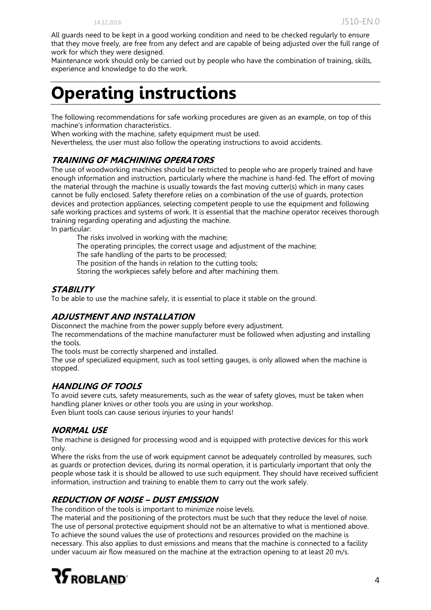All guards need to be kept in a good working condition and need to be checked regularly to ensure that they move freely, are free from any defect and are capable of being adjusted over the full range of work for which they were designed.

Maintenance work should only be carried out by people who have the combination of training, skills, experience and knowledge to do the work.

### **Operating instructions**

The following recommendations for safe working procedures are given as an example, on top of this machine's information characteristics.

When working with the machine, safety equipment must be used.

Nevertheless, the user must also follow the operating instructions to avoid accidents.

#### **TRAINING OF MACHINING OPERATORS**

The use of woodworking machines should be restricted to people who are properly trained and have enough information and instruction, particularly where the machine is hand-fed. The effort of moving the material through the machine is usually towards the fast moving cutter(s) which in many cases cannot be fully enclosed. Safety therefore relies on a combination of the use of guards, protection devices and protection appliances, selecting competent people to use the equipment and following safe working practices and systems of work. It is essential that the machine operator receives thorough training regarding operating and adjusting the machine. In particular:

The risks involved in working with the machine;

The operating principles, the correct usage and adjustment of the machine;

The safe handling of the parts to be processed;

The position of the hands in relation to the cutting tools;

Storing the workpieces safely before and after machining them.

#### **STABILITY**

To be able to use the machine safely, it is essential to place it stable on the ground.

#### **ADJUSTMENT AND INSTALLATION**

Disconnect the machine from the power supply before every adjustment.

The recommendations of the machine manufacturer must be followed when adjusting and installing the tools.

The tools must be correctly sharpened and installed.

The use of specialized equipment, such as tool setting gauges, is only allowed when the machine is stopped.

#### **HANDLING OF TOOLS**

To avoid severe cuts, safety measurements, such as the wear of safety gloves, must be taken when handling planer knives or other tools you are using in your workshop. Even blunt tools can cause serious injuries to your hands!

#### **NORMAL USE**

The machine is designed for processing wood and is equipped with protective devices for this work only.

Where the risks from the use of work equipment cannot be adequately controlled by measures, such as guards or protection devices, during its normal operation, it is particularly important that only the people whose task it is should be allowed to use such equipment. They should have received sufficient information, instruction and training to enable them to carry out the work safely.

#### **REDUCTION OF NOISE – DUST EMISSION**

The condition of the tools is important to minimize noise levels.

The material and the positioning of the protectors must be such that they reduce the level of noise. The use of personal protective equipment should not be an alternative to what is mentioned above. To achieve the sound values the use of protections and resources provided on the machine is necessary. This also applies to dust emissions and means that the machine is connected to a facility under vacuum air flow measured on the machine at the extraction opening to at least 20 m/s.

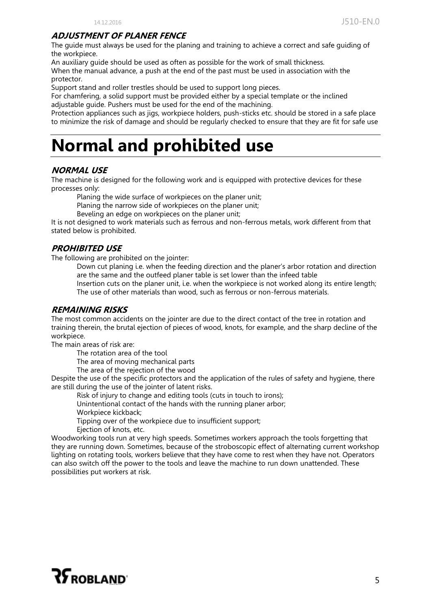#### **ADJUSTMENT OF PLANER FENCE**

The guide must always be used for the planing and training to achieve a correct and safe guiding of the workpiece.

An auxiliary guide should be used as often as possible for the work of small thickness. When the manual advance, a push at the end of the past must be used in association with the protector.

Support stand and roller trestles should be used to support long pieces.

For chamfering, a solid support must be provided either by a special template or the inclined adjustable guide. Pushers must be used for the end of the machining.

Protection appliances such as jigs, workpiece holders, push-sticks etc. should be stored in a safe place to minimize the risk of damage and should be regularly checked to ensure that they are fit for safe use

### **Normal and prohibited use**

#### **NORMAL USE**

The machine is designed for the following work and is equipped with protective devices for these processes only:

Planing the wide surface of workpieces on the planer unit;

Planing the narrow side of workpieces on the planer unit;

Beveling an edge on workpieces on the planer unit;

It is not designed to work materials such as ferrous and non-ferrous metals, work different from that stated below is prohibited.

#### **PROHIBITED USE**

The following are prohibited on the jointer:

Down cut planing i.e. when the feeding direction and the planer's arbor rotation and direction are the same and the outfeed planer table is set lower than the infeed table Insertion cuts on the planer unit, i.e. when the workpiece is not worked along its entire length; The use of other materials than wood, such as ferrous or non-ferrous materials.

#### **REMAINING RISKS**

The most common accidents on the jointer are due to the direct contact of the tree in rotation and training therein, the brutal ejection of pieces of wood, knots, for example, and the sharp decline of the workpiece.

The main areas of risk are:

The rotation area of the tool

The area of moving mechanical parts

The area of the rejection of the wood

Despite the use of the specific protectors and the application of the rules of safety and hygiene, there are still during the use of the jointer of latent risks.

Risk of injury to change and editing tools (cuts in touch to irons);

Unintentional contact of the hands with the running planer arbor;

Workpiece kickback;

Tipping over of the workpiece due to insufficient support;

Ejection of knots, etc.

Woodworking tools run at very high speeds. Sometimes workers approach the tools forgetting that they are running down. Sometimes, because of the stroboscopic effect of alternating current workshop lighting on rotating tools, workers believe that they have come to rest when they have not. Operators can also switch off the power to the tools and leave the machine to run down unattended. These possibilities put workers at risk.

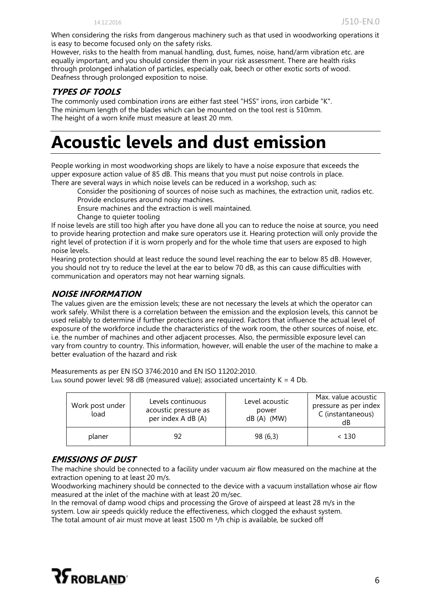When considering the risks from dangerous machinery such as that used in woodworking operations it is easy to become focused only on the safety risks.

However, risks to the health from manual handling, dust, fumes, noise, hand/arm vibration etc. are equally important, and you should consider them in your risk assessment. There are health risks through prolonged inhalation of particles, especially oak, beech or other exotic sorts of wood. Deafness through prolonged exposition to noise.

#### **TYPES OF TOOLS**

The commonly used combination irons are either fast steel "HSS" irons, iron carbide "K". The minimum length of the blades which can be mounted on the tool rest is 510mm. The height of a worn knife must measure at least 20 mm.

### **Acoustic levels and dust emission**

People working in most woodworking shops are likely to have a noise exposure that exceeds the upper exposure action value of 85 dB. This means that you must put noise controls in place. There are several ways in which noise levels can be reduced in a workshop, such as:

Consider the positioning of sources of noise such as machines, the extraction unit, radios etc. Provide enclosures around noisy machines.

Ensure machines and the extraction is well maintained.

Change to quieter tooling

If noise levels are still too high after you have done all you can to reduce the noise at source, you need to provide hearing protection and make sure operators use it. Hearing protection will only provide the right level of protection if it is worn properly and for the whole time that users are exposed to high noise levels.

Hearing protection should at least reduce the sound level reaching the ear to below 85 dB. However, you should not try to reduce the level at the ear to below 70 dB, as this can cause difficulties with communication and operators may not hear warning signals.

#### **NOISE INFORMATION**

The values given are the emission levels; these are not necessary the levels at which the operator can work safely. Whilst there is a correlation between the emission and the explosion levels, this cannot be used reliably to determine if further protections are required. Factors that influence the actual level of exposure of the workforce include the characteristics of the work room, the other sources of noise, etc. i.e. the number of machines and other adjacent processes. Also, the permissible exposure level can vary from country to country. This information, however, will enable the user of the machine to make a better evaluation of the hazard and risk

Measurements as per EN ISO 3746:2010 and EN ISO 11202:2010. L<sub>WA</sub> sound power level: 98 dB (measured value); associated uncertainty  $K = 4$  Db.

| Work post under<br>load | Levels continuous<br>acoustic pressure as<br>per index A dB (A) | Level acoustic<br>power<br>$dB(A)$ (MW) | Max. value acoustic<br>pressure as per index<br>C (instantaneous)<br>dB |
|-------------------------|-----------------------------------------------------------------|-----------------------------------------|-------------------------------------------------------------------------|
| planer                  | 92                                                              | 98 (6,3)                                | ~< 130                                                                  |

#### **EMISSIONS OF DUST**

The machine should be connected to a facility under vacuum air flow measured on the machine at the extraction opening to at least 20 m/s.

Woodworking machinery should be connected to the device with a vacuum installation whose air flow measured at the inlet of the machine with at least 20 m/sec.

In the removal of damp wood chips and processing the Grove of airspeed at least 28 m/s in the system. Low air speeds quickly reduce the effectiveness, which clogged the exhaust system. The total amount of air must move at least 1500 m  $\frac{3}{h}$  chip is available, be sucked off

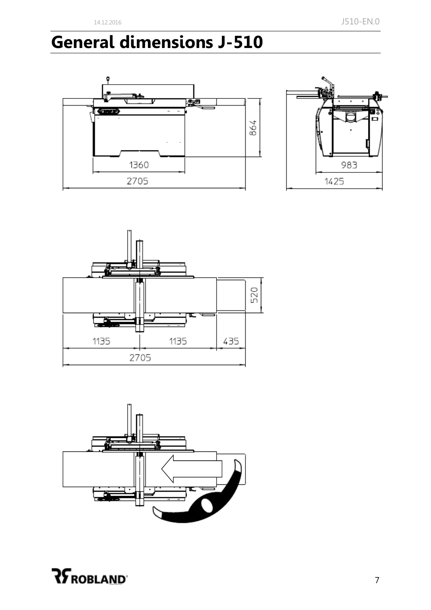# **General dimensions J-510**









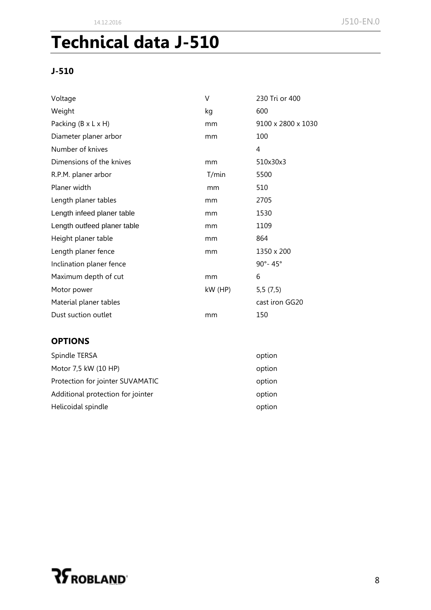# **Technical data J-510**

#### **J-510**

| Voltage                         | V         | 230 Tri or 400     |
|---------------------------------|-----------|--------------------|
| Weight                          | kg        | 600                |
| Packing $(B \times L \times H)$ | mm        | 9100 x 2800 x 1030 |
| Diameter planer arbor           | mm        | 100                |
| Number of knives                |           | 4                  |
| Dimensions of the knives        | mm        | 510x30x3           |
| R.P.M. planer arbor             | T/min     | 5500               |
| Planer width                    | mm        | 510                |
| Length planer tables            | mm        | 2705               |
| Length infeed planer table      | mm        | 1530               |
| Length outfeed planer table     | mm        | 1109               |
| Height planer table             | mm        | 864                |
| Length planer fence             | mm        | 1350 x 200         |
| Inclination planer fence        |           | 90°-45°            |
| Maximum depth of cut            | mm        | 6                  |
| Motor power                     | $kW$ (HP) | 5,5(7,5)           |
| Material planer tables          |           | cast iron GG20     |
| Dust suction outlet             | mm        | 150                |

#### **OPTIONS**

| option |
|--------|
| option |
| option |
| option |
| option |
|        |

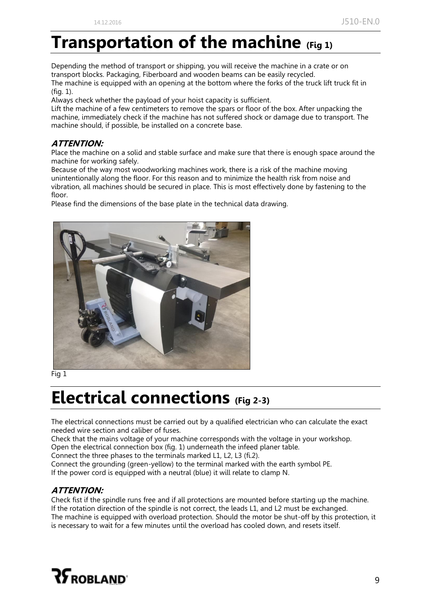### **Transportation of the machine (Fig 1)**

Depending the method of transport or shipping, you will receive the machine in a crate or on transport blocks. Packaging, Fiberboard and wooden beams can be easily recycled. The machine is equipped with an opening at the bottom where the forks of the truck lift truck fit in (fig. 1).

Always check whether the payload of your hoist capacity is sufficient.

Lift the machine of a few centimeters to remove the spars or floor of the box. After unpacking the machine, immediately check if the machine has not suffered shock or damage due to transport. The machine should, if possible, be installed on a concrete base.

#### **ATTENTION:**

Place the machine on a solid and stable surface and make sure that there is enough space around the machine for working safely.

Because of the way most woodworking machines work, there is a risk of the machine moving unintentionally along the floor. For this reason and to minimize the health risk from noise and vibration, all machines should be secured in place. This is most effectively done by fastening to the floor.

Please find the dimensions of the base plate in the technical data drawing.



Fig 1

### **Electrical connections (Fig 2-3)**

The electrical connections must be carried out by a qualified electrician who can calculate the exact needed wire section and caliber of fuses.

Check that the mains voltage of your machine corresponds with the voltage in your workshop.

Open the electrical connection box (fig. 1) underneath the infeed planer table.

Connect the three phases to the terminals marked L1, L2, L3 (fi.2).

Connect the grounding (green-yellow) to the terminal marked with the earth symbol PE. If the power cord is equipped with a neutral (blue) it will relate to clamp N.

#### **ATTENTION:**

Check fist if the spindle runs free and if all protections are mounted before starting up the machine. If the rotation direction of the spindle is not correct, the leads L1, and L2 must be exchanged. The machine is equipped with overload protection. Should the motor be shut-off by this protection, it is necessary to wait for a few minutes until the overload has cooled down, and resets itself.

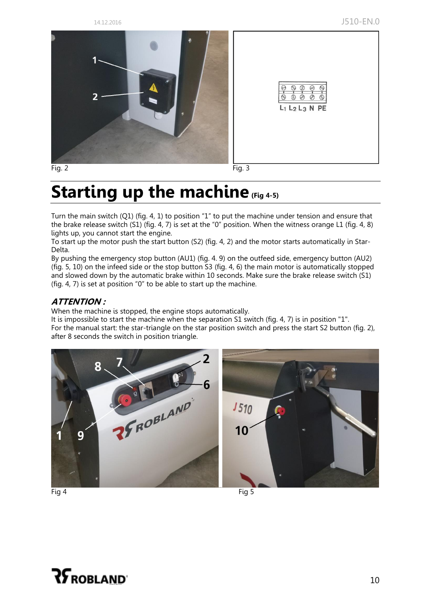14.12.2016 J510-EN.0



 $\oslash$  $\mathcal{D}$ 

 $O$ 

Ø  $L_1$   $L_2$   $L_3$  N PE

## **Starting up the machine (Fig 4-5)**

Turn the main switch (Q1) (fig. 4, 1) to position "1" to put the machine under tension and ensure that the brake release switch (S1) (fig. 4, 7) is set at the "0" position. When the witness orange L1 (fig. 4, 8) lights up, you cannot start the engine.

To start up the motor push the start button (S2) (fig. 4, 2) and the motor starts automatically in Star-Delta.

By pushing the emergency stop button (AU1) (fig. 4. 9) on the outfeed side, emergency button (AU2) (fig. 5, 10) on the infeed side or the stop button S3 (fig. 4, 6) the main motor is automatically stopped and slowed down by the automatic brake within 10 seconds. Make sure the brake release switch (S1) (fig. 4, 7) is set at position "0" to be able to start up the machine.

#### **ATTENTION :**

When the machine is stopped, the engine stops automatically.

It is impossible to start the machine when the separation S1 switch (fig. 4, 7) is in position "1". For the manual start: the star-triangle on the star position switch and press the start S2 button (fig. 2), after 8 seconds the switch in position triangle.



Fig 4 Fig 5

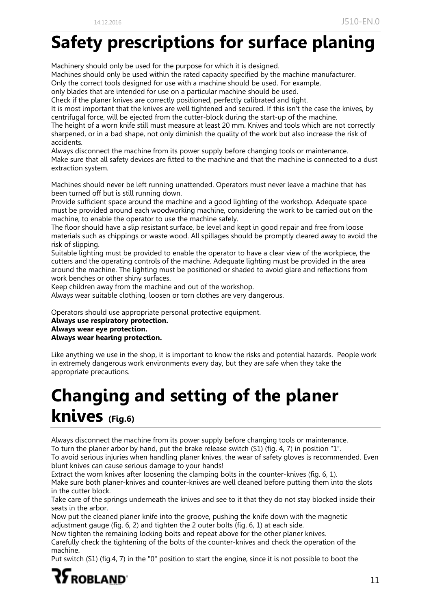# **Safety prescriptions for surface planing**

Machinery should only be used for the purpose for which it is designed. Machines should only be used within the rated capacity specified by the machine manufacturer.

Only the correct tools designed for use with a machine should be used. For example,

only blades that are intended for use on a particular machine should be used.

Check if the planer knives are correctly positioned, perfectly calibrated and tight.

It is most important that the knives are well tightened and secured. If this isn't the case the knives, by centrifugal force, will be ejected from the cutter-block during the start-up of the machine. The height of a worn knife still must measure at least 20 mm. Knives and tools which are not correctly

sharpened, or in a bad shape, not only diminish the quality of the work but also increase the risk of accidents.

Always disconnect the machine from its power supply before changing tools or maintenance. Make sure that all safety devices are fitted to the machine and that the machine is connected to a dust extraction system.

Machines should never be left running unattended. Operators must never leave a machine that has been turned off but is still running down.

Provide sufficient space around the machine and a good lighting of the workshop. Adequate space must be provided around each woodworking machine, considering the work to be carried out on the machine, to enable the operator to use the machine safely.

The floor should have a slip resistant surface, be level and kept in good repair and free from loose materials such as chippings or waste wood. All spillages should be promptly cleared away to avoid the risk of slipping.

Suitable lighting must be provided to enable the operator to have a clear view of the workpiece, the cutters and the operating controls of the machine. Adequate lighting must be provided in the area around the machine. The lighting must be positioned or shaded to avoid glare and reflections from work benches or other shiny surfaces.

Keep children away from the machine and out of the workshop.

Always wear suitable clothing, loosen or torn clothes are very dangerous.

Operators should use appropriate personal protective equipment.

**Always use respiratory protection. Always wear eye protection.**

**Always wear hearing protection.**

Like anything we use in the shop, it is important to know the risks and potential hazards. People work in extremely dangerous work environments every day, but they are safe when they take the appropriate precautions.

# **Changing and setting of the planer knives (Fig.6)**

Always disconnect the machine from its power supply before changing tools or maintenance.

To turn the planer arbor by hand, put the brake release switch (S1) (fig. 4, 7) in position "1".

To avoid serious injuries when handling planer knives, the wear of safety gloves is recommended. Even blunt knives can cause serious damage to your hands!

Extract the worn knives after loosening the clamping bolts in the counter-knives (fig. 6, 1).

Make sure both planer-knives and counter-knives are well cleaned before putting them into the slots in the cutter block.

Take care of the springs underneath the knives and see to it that they do not stay blocked inside their seats in the arbor.

Now put the cleaned planer knife into the groove, pushing the knife down with the magnetic adjustment gauge (fig. 6, 2) and tighten the 2 outer bolts (fig. 6, 1) at each side.

Now tighten the remaining locking bolts and repeat above for the other planer knives.

Carefully check the tightening of the bolts of the counter-knives and check the operation of the machine.

Put switch (S1) (fig.4, 7) in the "0" position to start the engine, since it is not possible to boot the

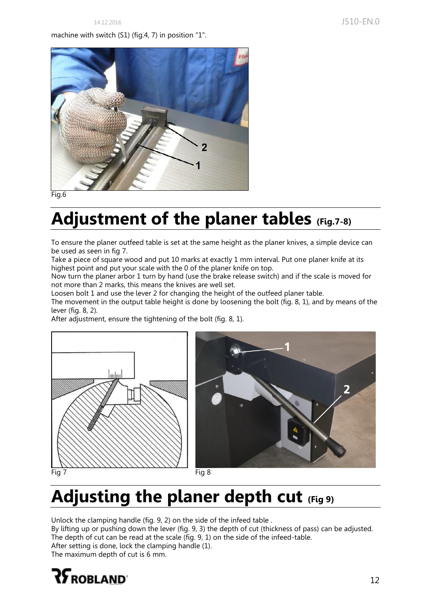#### machine with switch (S1) (fig.4, 7) in position "1".



Fig.6

# **Adjustment of the planer tables (Fig.7-8)**

To ensure the planer outfeed table is set at the same height as the planer knives, a simple device can be used as seen in fig 7.

Take a piece of square wood and put 10 marks at exactly 1 mm interval. Put one planer knife at its highest point and put your scale with the 0 of the planer knife on top.

Now turn the planer arbor 1 turn by hand (use the brake release switch) and if the scale is moved for not more than 2 marks, this means the knives are well set.

Loosen bolt 1 and use the lever 2 for changing the height of the outfeed planer table. The movement in the output table height is done by loosening the bolt (fig. 8, 1), and by means of the lever (fig. 8, 2).

After adjustment, ensure the tightening of the bolt (fig. 8, 1).





# **Adjusting the planer depth cut (Fig 9)**

Unlock the clamping handle (fig. 9, 2) on the side of the infeed table . By lifting up or pushing down the lever (fig. 9, 3) the depth of cut (thickness of pass) can be adjusted. The depth of cut can be read at the scale (fig. 9, 1) on the side of the infeed-table. After setting is done, lock the clamping handle (1). The maximum depth of cut is 6 mm.

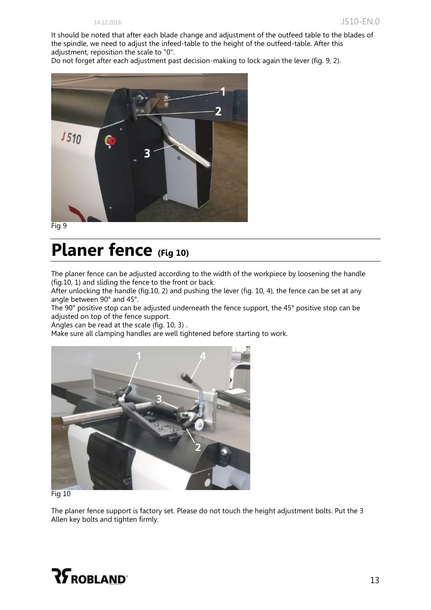It should be noted that after each blade change and adjustment of the outfeed table to the blades of the spindle, we need to adjust the infeed-table to the height of the outfeed-table. After this adjustment, reposition the scale to "0".

Do not forget after each adjustment past decision-making to lock again the lever (fig. 9, 2).



Fig 9

### **Planer fence (Fig 10)**

The planer fence can be adjusted according to the width of the workpiece by loosening the handle (fig.10, 1) and sliding the fence to the front or back.

After unlocking the handle (fig.10, 2) and pushing the lever (fig. 10, 4), the fence can be set at any angle between 90° and 45°.

The 90° positive stop can be adjusted underneath the fence support, the 45° positive stop can be adjusted on top of the fence support.

Angles can be read at the scale (fig. 10, 3) .

Make sure all clamping handles are well tightened before starting to work.



Fig 10

The planer fence support is factory set. Please do not touch the height adjustment bolts. Put the 3 Allen key bolts and tighten firmly.

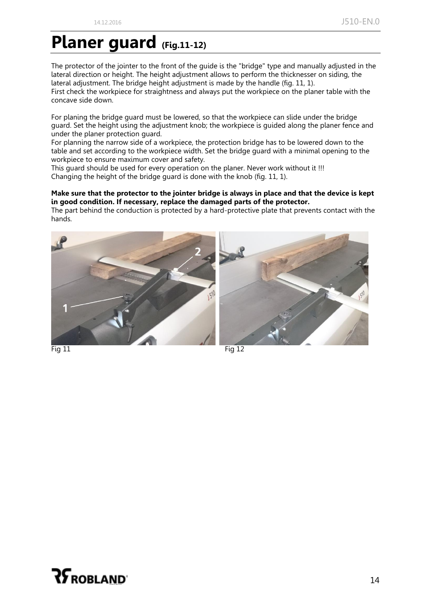### **Planer guard (Fig.11-12)**

The protector of the jointer to the front of the guide is the "bridge" type and manually adjusted in the lateral direction or height. The height adjustment allows to perform the thicknesser on siding, the lateral adjustment. The bridge height adjustment is made by the handle (fig. 11, 1). First check the workpiece for straightness and always put the workpiece on the planer table with the concave side down.

For planing the bridge guard must be lowered, so that the workpiece can slide under the bridge guard. Set the height using the adjustment knob; the workpiece is guided along the planer fence and under the planer protection guard.

For planning the narrow side of a workpiece, the protection bridge has to be lowered down to the table and set according to the workpiece width. Set the bridge guard with a minimal opening to the workpiece to ensure maximum cover and safety.

This guard should be used for every operation on the planer. Never work without it !!! Changing the height of the bridge guard is done with the knob (fig. 11, 1).

#### **Make sure that the protector to the jointer bridge is always in place and that the device is kept in good condition. If necessary, replace the damaged parts of the protector.**

The part behind the conduction is protected by a hard-protective plate that prevents contact with the hands.





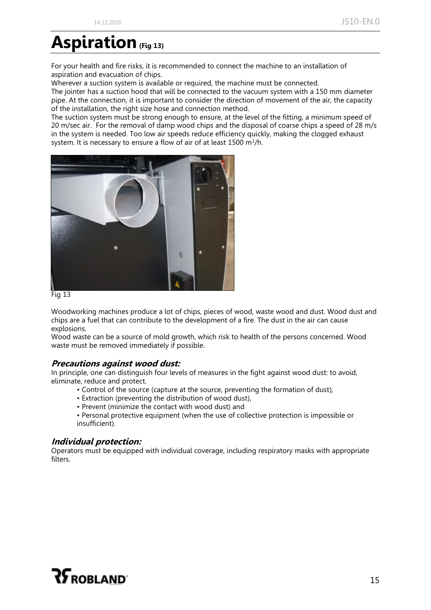### **Aspiration(Fig 13)**

For your health and fire risks, it is recommended to connect the machine to an installation of aspiration and evacuation of chips.

Wherever a suction system is available or required, the machine must be connected.

The jointer has a suction hood that will be connected to the vacuum system with a 150 mm diameter pipe. At the connection, it is important to consider the direction of movement of the air, the capacity of the installation, the right size hose and connection method.

The suction system must be strong enough to ensure, at the level of the fitting, a minimum speed of 20 m/sec air. For the removal of damp wood chips and the disposal of coarse chips a speed of 28 m/s in the system is needed. Too low air speeds reduce efficiency quickly, making the clogged exhaust system. It is necessary to ensure a flow of air of at least  $1500 \text{ m}^3/\text{h}$ .





Woodworking machines produce a lot of chips, pieces of wood, waste wood and dust. Wood dust and chips are a fuel that can contribute to the development of a fire. The dust in the air can cause explosions.

Wood waste can be a source of mold growth, which risk to health of the persons concerned. Wood waste must be removed immediately if possible.

#### **Precautions against wood dust:**

In principle, one can distinguish four levels of measures in the fight against wood dust: to avoid, eliminate, reduce and protect.

- Control of the source (capture at the source, preventing the formation of dust),
- Extraction (preventing the distribution of wood dust),
- Prevent (minimize the contact with wood dust) and
- Personal protective equipment (when the use of collective protection is impossible or insufficient).

#### **Individual protection:**

Operators must be equipped with individual coverage, including respiratory masks with appropriate filters.

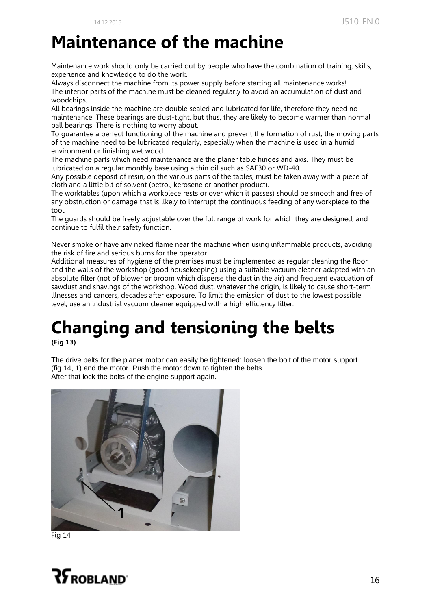### **Maintenance of the machine**

Maintenance work should only be carried out by people who have the combination of training, skills, experience and knowledge to do the work.

Always disconnect the machine from its power supply before starting all maintenance works! The interior parts of the machine must be cleaned regularly to avoid an accumulation of dust and woodchips.

All bearings inside the machine are double sealed and lubricated for life, therefore they need no maintenance. These bearings are dust-tight, but thus, they are likely to become warmer than normal ball bearings. There is nothing to worry about.

To guarantee a perfect functioning of the machine and prevent the formation of rust, the moving parts of the machine need to be lubricated regularly, especially when the machine is used in a humid environment or finishing wet wood.

The machine parts which need maintenance are the planer table hinges and axis. They must be lubricated on a regular monthly base using a thin oil such as SAE30 or WD-40.

Any possible deposit of resin, on the various parts of the tables, must be taken away with a piece of cloth and a little bit of solvent (petrol, kerosene or another product).

The worktables (upon which a workpiece rests or over which it passes) should be smooth and free of any obstruction or damage that is likely to interrupt the continuous feeding of any workpiece to the tool.

The guards should be freely adjustable over the full range of work for which they are designed, and continue to fulfil their safety function.

Never smoke or have any naked flame near the machine when using inflammable products, avoiding the risk of fire and serious burns for the operator!

Additional measures of hygiene of the premises must be implemented as regular cleaning the floor and the walls of the workshop (good housekeeping) using a suitable vacuum cleaner adapted with an absolute filter (not of blower or broom which disperse the dust in the air) and frequent evacuation of sawdust and shavings of the workshop. Wood dust, whatever the origin, is likely to cause short-term illnesses and cancers, decades after exposure. To limit the emission of dust to the lowest possible level, use an industrial vacuum cleaner equipped with a high efficiency filter.

# **Changing and tensioning the belts**

**(Fig 13)**

The drive belts for the planer motor can easily be tightened: loosen the bolt of the motor support (fig.14, 1) and the motor. Push the motor down to tighten the belts. After that lock the bolts of the engine support again.



Fig 14